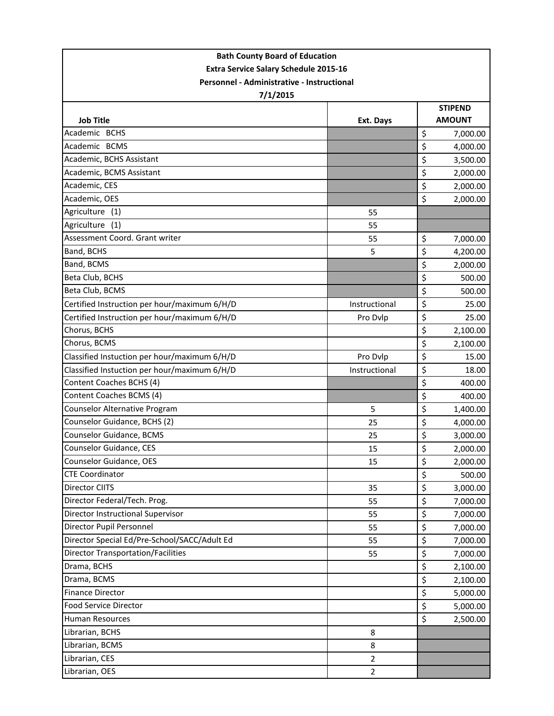| <b>Bath County Board of Education</b>        |                |                |               |  |  |  |
|----------------------------------------------|----------------|----------------|---------------|--|--|--|
| <b>Extra Service Salary Schedule 2015-16</b> |                |                |               |  |  |  |
| Personnel - Administrative - Instructional   |                |                |               |  |  |  |
| 7/1/2015                                     |                |                |               |  |  |  |
|                                              |                | <b>STIPEND</b> |               |  |  |  |
| <b>Job Title</b>                             | Ext. Days      |                | <b>AMOUNT</b> |  |  |  |
| Academic BCHS                                |                | $\zeta$        | 7,000.00      |  |  |  |
| Academic BCMS                                |                | \$             | 4,000.00      |  |  |  |
| Academic, BCHS Assistant                     |                | \$             | 3,500.00      |  |  |  |
| Academic, BCMS Assistant                     |                | \$             | 2,000.00      |  |  |  |
| Academic, CES                                |                | \$             | 2,000.00      |  |  |  |
| Academic, OES                                |                | \$             | 2,000.00      |  |  |  |
| Agriculture<br>(1)                           | 55             |                |               |  |  |  |
| Agriculture<br>(1)                           | 55             |                |               |  |  |  |
| Assessment Coord. Grant writer               | 55             | \$             | 7,000.00      |  |  |  |
| Band, BCHS                                   | 5              | \$             | 4,200.00      |  |  |  |
| Band, BCMS                                   |                | \$             | 2,000.00      |  |  |  |
| Beta Club, BCHS                              |                | \$             | 500.00        |  |  |  |
| Beta Club, BCMS                              |                | \$             | 500.00        |  |  |  |
| Certified Instruction per hour/maximum 6/H/D | Instructional  | \$             | 25.00         |  |  |  |
| Certified Instruction per hour/maximum 6/H/D | Pro Dvlp       | \$             | 25.00         |  |  |  |
| Chorus, BCHS                                 |                | \$             | 2,100.00      |  |  |  |
| Chorus, BCMS                                 |                | \$             | 2,100.00      |  |  |  |
| Classified Instuction per hour/maximum 6/H/D | Pro Dvlp       | \$             | 15.00         |  |  |  |
| Classified Instuction per hour/maximum 6/H/D | Instructional  | \$             | 18.00         |  |  |  |
| Content Coaches BCHS (4)                     |                | \$             | 400.00        |  |  |  |
| Content Coaches BCMS (4)                     |                | \$             | 400.00        |  |  |  |
| <b>Counselor Alternative Program</b>         | 5              | \$             | 1,400.00      |  |  |  |
| Counselor Guidance, BCHS (2)                 | 25             | \$             | 4,000.00      |  |  |  |
| Counselor Guidance, BCMS                     | 25             | \$             | 3,000.00      |  |  |  |
| Counselor Guidance, CES                      | 15             | \$             | 2,000.00      |  |  |  |
| <b>Counselor Guidance, OES</b>               | 15             | \$             | 2,000.00      |  |  |  |
| <b>CTE Coordinator</b>                       |                | \$             | 500.00        |  |  |  |
| Director CIITS                               | 35             | \$             | 3,000.00      |  |  |  |
| Director Federal/Tech. Prog.                 | 55             | \$             | 7,000.00      |  |  |  |
| Director Instructional Supervisor            | 55             | \$             | 7,000.00      |  |  |  |
| Director Pupil Personnel                     | 55             | \$             | 7,000.00      |  |  |  |
| Director Special Ed/Pre-School/SACC/Adult Ed | 55             | \$             | 7,000.00      |  |  |  |
| <b>Director Transportation/Facilities</b>    | 55             | \$             | 7,000.00      |  |  |  |
| Drama, BCHS                                  |                | \$             | 2,100.00      |  |  |  |
| Drama, BCMS                                  |                | \$             | 2,100.00      |  |  |  |
| <b>Finance Director</b>                      |                | \$             | 5,000.00      |  |  |  |
| Food Service Director                        |                | \$             | 5,000.00      |  |  |  |
| <b>Human Resources</b>                       |                | \$             | 2,500.00      |  |  |  |
| Librarian, BCHS                              | 8              |                |               |  |  |  |
| Librarian, BCMS                              | 8              |                |               |  |  |  |
| Librarian, CES                               | $\overline{2}$ |                |               |  |  |  |
| Librarian, OES                               | $\overline{2}$ |                |               |  |  |  |